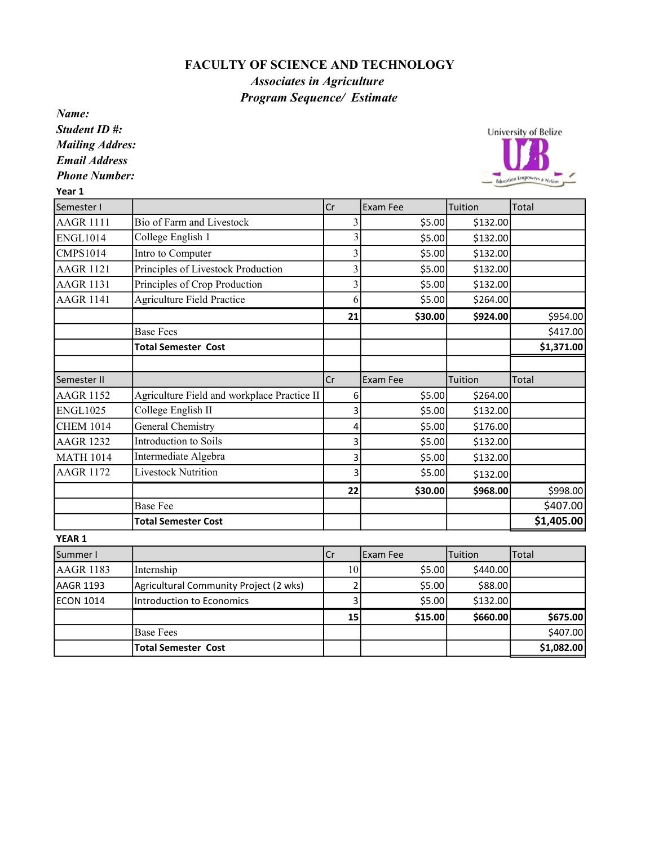## FACULTY OF SCIENCE AND TECHNOLOGY

## Associates in Agriculture Program Sequence/ Estimate

Name:

Student ID #: Mailing Addres:

Email Address

Phone Number:

Year 1

University of Belize Education Empowers a

| Semester I       |                                             | $ c_r $                 | <b>Exam Fee</b> | Tuition  | <b>Total</b> |
|------------------|---------------------------------------------|-------------------------|-----------------|----------|--------------|
| <b>AAGR 1111</b> | Bio of Farm and Livestock                   | 3                       | \$5.00          | \$132.00 |              |
| <b>ENGL1014</b>  | College English 1                           | 3                       | \$5.00          | \$132.00 |              |
| <b>CMPS1014</b>  | Intro to Computer                           | 3                       | \$5.00          | \$132.00 |              |
| <b>AAGR 1121</b> | Principles of Livestock Production          | $\overline{3}$          | \$5.00          | \$132.00 |              |
| <b>AAGR 1131</b> | Principles of Crop Production               | $\overline{3}$          | \$5.00          | \$132.00 |              |
| <b>AAGR 1141</b> | <b>Agriculture Field Practice</b>           | 6                       | \$5.00          | \$264.00 |              |
|                  |                                             | 21                      | \$30.00         | \$924.00 | \$954.00     |
|                  | <b>Base Fees</b>                            |                         |                 |          | \$417.00     |
|                  | <b>Total Semester Cost</b>                  |                         |                 |          | \$1,371.00   |
| Semester II      |                                             | <b>Cr</b>               | <b>Exam Fee</b> | Tuition  | <b>Total</b> |
| <b>AAGR 1152</b> | Agriculture Field and workplace Practice II | 6                       | \$5.00          | \$264.00 |              |
| <b>ENGL1025</b>  | College English II                          | 3                       | \$5.00          | \$132.00 |              |
| <b>CHEM 1014</b> | <b>General Chemistry</b>                    | 4                       | \$5.00          | \$176.00 |              |
| <b>AAGR 1232</b> | Introduction to Soils                       | 3                       | \$5.00          | \$132.00 |              |
| <b>MATH 1014</b> | Intermediate Algebra                        | 3                       | \$5.00          | \$132.00 |              |
| <b>AAGR 1172</b> | <b>Livestock Nutrition</b>                  | 3                       | \$5.00          | \$132.00 |              |
|                  |                                             | 22                      | \$30.00         | \$968.00 | \$998.00     |
|                  | <b>Base Fee</b>                             |                         |                 |          | \$407.00     |
|                  | <b>Total Semester Cost</b>                  |                         |                 |          | \$1,405.00   |
| YEAR 1           |                                             |                         |                 |          |              |
| Summer I         |                                             | lcr                     | <b>Exam Fee</b> | Tuition  | Total        |
| <b>AAGR 1183</b> | Internship                                  | 10                      | \$5.00          | \$440.00 |              |
| <b>AAGR 1193</b> | Agricultural Community Project (2 wks)      | $\overline{\mathbf{c}}$ | \$5.00          | \$88.00  |              |
| <b>ECON 1014</b> | <b>Introduction to Economics</b>            | 3                       | \$5.00          | \$132.00 |              |
|                  |                                             | 15                      | \$15.00         | \$660.00 | \$675.00     |

Base Fees  $\begin{vmatrix} 1 & 1 \\ 1 & 1 \end{vmatrix}$   $\begin{vmatrix} 1 & 1 \\ 1 & 1 \end{vmatrix}$   $\begin{vmatrix} 1 & 1 \\ 1 & 1 \end{vmatrix}$   $\begin{vmatrix} 1 & 1 \\ 1 & 1 \end{vmatrix}$   $\begin{vmatrix} 5407.00 \\ 1 & 1 \end{vmatrix}$ Total Semester Cost \$1,082.00